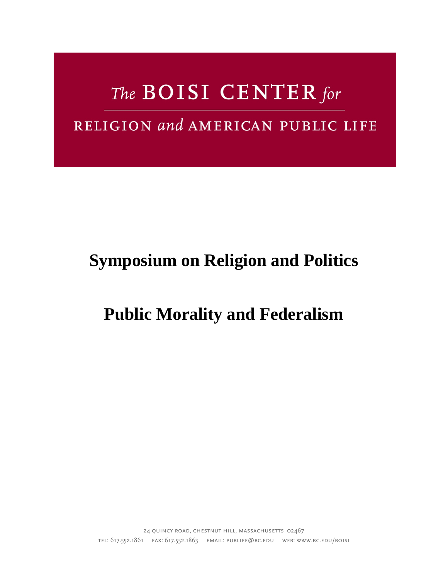# The BOISI CENTER for

## RELIGION and AMERICAN PUBLIC LIFE

## **Symposium on Religion and Politics**

## **Public Morality and Federalism**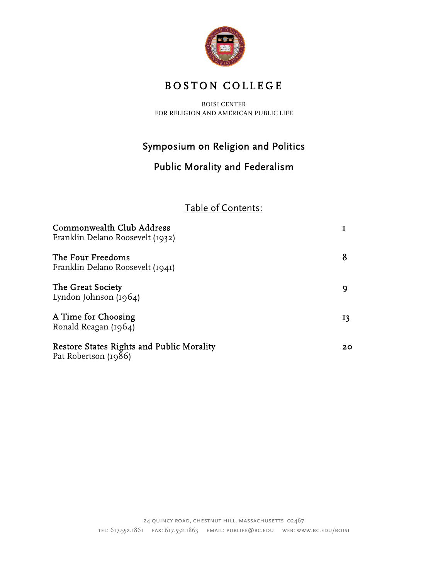

### BOSTON COLLEGE

BOISI CENTER FOR RELIGION AND AMERICAN PUBLIC LIFE

## Symposium on Religion and Politics

## Public Morality and Federalism

#### Table of Contents:

| Commonwealth Club Address<br>Franklin Delano Roosevelt (1932)            |     |
|--------------------------------------------------------------------------|-----|
| The Four Freedoms<br>Franklin Delano Roosevelt (1941)                    | 8   |
| The Great Society<br>Lyndon Johnson $(1964)$                             | 9   |
| A Time for Choosing<br>Ronald Reagan (1964)                              | 13  |
| <b>Restore States Rights and Public Morality</b><br>Pat Robertson (1986) | 20. |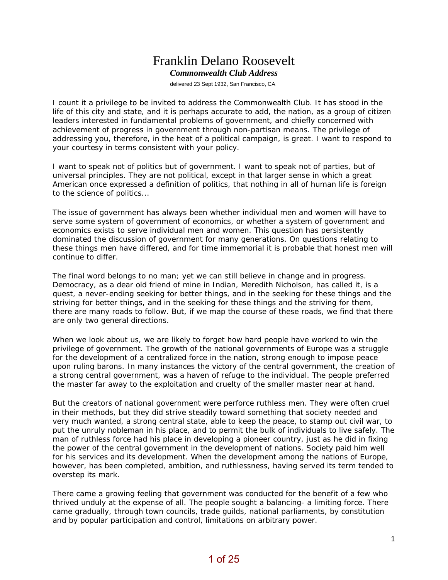### Franklin Delano Roosevelt *Commonwealth Club Address*

delivered 23 Sept 1932, San Francisco, CA

I count it a privilege to be invited to address the Commonwealth Club. It has stood in the life of this city and state, and it is perhaps accurate to add, the nation, as a group of citizen leaders interested in fundamental problems of government, and chiefly concerned with achievement of progress in government through non-partisan means. The privilege of addressing you, therefore, in the heat of a political campaign, is great. I want to respond to your courtesy in terms consistent with your policy.

I want to speak not of politics but of government. I want to speak not of parties, but of universal principles. They are not political, except in that larger sense in which a great American once expressed a definition of politics, that nothing in all of human life is foreign to the science of politics...

The issue of government has always been whether individual men and women will have to serve some system of government of economics, or whether a system of government and economics exists to serve individual men and women. This question has persistently dominated the discussion of government for many generations. On questions relating to these things men have differed, and for time immemorial it is probable that honest men will continue to differ.

The final word belongs to no man; yet we can still believe in change and in progress. Democracy, as a dear old friend of mine in Indian, Meredith Nicholson, has called it, is a quest, a never-ending seeking for better things, and in the seeking for these things and the striving for better things, and in the seeking for these things and the striving for them, there are many roads to follow. But, if we map the course of these roads, we find that there are only two general directions.

When we look about us, we are likely to forget how hard people have worked to win the privilege of government. The growth of the national governments of Europe was a struggle for the development of a centralized force in the nation, strong enough to impose peace upon ruling barons. In many instances the victory of the central government, the creation of a strong central government, was a haven of refuge to the individual. The people preferred the master far away to the exploitation and cruelty of the smaller master near at hand.

But the creators of national government were perforce ruthless men. They were often cruel in their methods, but they did strive steadily toward something that society needed and very much wanted, a strong central state, able to keep the peace, to stamp out civil war, to put the unruly nobleman in his place, and to permit the bulk of individuals to live safely. The man of ruthless force had his place in developing a pioneer country, just as he did in fixing the power of the central government in the development of nations. Society paid him well for his services and its development. When the development among the nations of Europe, however, has been completed, ambition, and ruthlessness, having served its term tended to overstep its mark.

There came a growing feeling that government was conducted for the benefit of a few who thrived unduly at the expense of all. The people sought a balancing- a limiting force. There came gradually, through town councils, trade guilds, national parliaments, by constitution and by popular participation and control, limitations on arbitrary power.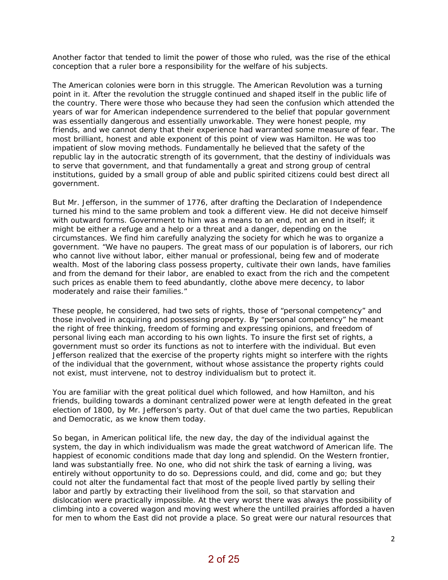Another factor that tended to limit the power of those who ruled, was the rise of the ethical conception that a ruler bore a responsibility for the welfare of his subjects.

The American colonies were born in this struggle. The American Revolution was a turning point in it. After the revolution the struggle continued and shaped itself in the public life of the country. There were those who because they had seen the confusion which attended the years of war for American independence surrendered to the belief that popular government was essentially dangerous and essentially unworkable. They were honest people, my friends, and we cannot deny that their experience had warranted some measure of fear. The most brilliant, honest and able exponent of this point of view was Hamilton. He was too impatient of slow moving methods. Fundamentally he believed that the safety of the republic lay in the autocratic strength of its government, that the destiny of individuals was to serve that government, and that fundamentally a great and strong group of central institutions, guided by a small group of able and public spirited citizens could best direct all government.

But Mr. Jefferson, in the summer of 1776, after drafting the Declaration of Independence turned his mind to the same problem and took a different view. He did not deceive himself with outward forms. Government to him was a means to an end, not an end in itself; it might be either a refuge and a help or a threat and a danger, depending on the circumstances. We find him carefully analyzing the society for which he was to organize a government. "We have no paupers. The great mass of our population is of laborers, our rich who cannot live without labor, either manual or professional, being few and of moderate wealth. Most of the laboring class possess property, cultivate their own lands, have families and from the demand for their labor, are enabled to exact from the rich and the competent such prices as enable them to feed abundantly, clothe above mere decency, to labor moderately and raise their families."

These people, he considered, had two sets of rights, those of "personal competency" and those involved in acquiring and possessing property. By "personal competency" he meant the right of free thinking, freedom of forming and expressing opinions, and freedom of personal living each man according to his own lights. To insure the first set of rights, a government must so order its functions as not to interfere with the individual. But even Jefferson realized that the exercise of the property rights might so interfere with the rights of the individual that the government, without whose assistance the property rights could not exist, must intervene, not to destroy individualism but to protect it.

You are familiar with the great political duel which followed, and how Hamilton, and his friends, building towards a dominant centralized power were at length defeated in the great election of 1800, by Mr. Jefferson's party. Out of that duel came the two parties, Republican and Democratic, as we know them today.

So began, in American political life, the new day, the day of the individual against the system, the day in which individualism was made the great watchword of American life. The happiest of economic conditions made that day long and splendid. On the Western frontier, land was substantially free. No one, who did not shirk the task of earning a living, was entirely without opportunity to do so. Depressions could, and did, come and go; but they could not alter the fundamental fact that most of the people lived partly by selling their labor and partly by extracting their livelihood from the soil, so that starvation and dislocation were practically impossible. At the very worst there was always the possibility of climbing into a covered wagon and moving west where the untilled prairies afforded a haven for men to whom the East did not provide a place. So great were our natural resources that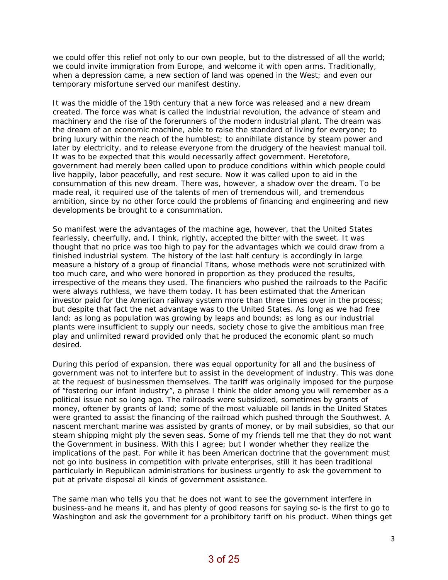we could offer this relief not only to our own people, but to the distressed of all the world; we could invite immigration from Europe, and welcome it with open arms. Traditionally, when a depression came, a new section of land was opened in the West; and even our temporary misfortune served our manifest destiny.

It was the middle of the 19th century that a new force was released and a new dream created. The force was what is called the industrial revolution, the advance of steam and machinery and the rise of the forerunners of the modern industrial plant. The dream was the dream of an economic machine, able to raise the standard of living for everyone; to bring luxury within the reach of the humblest; to annihilate distance by steam power and later by electricity, and to release everyone from the drudgery of the heaviest manual toil. It was to be expected that this would necessarily affect government. Heretofore, government had merely been called upon to produce conditions within which people could live happily, labor peacefully, and rest secure. Now it was called upon to aid in the consummation of this new dream. There was, however, a shadow over the dream. To be made real, it required use of the talents of men of tremendous will, and tremendous ambition, since by no other force could the problems of financing and engineering and new developments be brought to a consummation.

So manifest were the advantages of the machine age, however, that the United States fearlessly, cheerfully, and, I think, rightly, accepted the bitter with the sweet. It was thought that no price was too high to pay for the advantages which we could draw from a finished industrial system. The history of the last half century is accordingly in large measure a history of a group of financial Titans, whose methods were not scrutinized with too much care, and who were honored in proportion as they produced the results, irrespective of the means they used. The financiers who pushed the railroads to the Pacific were always ruthless, we have them today. It has been estimated that the American investor paid for the American railway system more than three times over in the process; but despite that fact the net advantage was to the United States. As long as we had free land; as long as population was growing by leaps and bounds; as long as our industrial plants were insufficient to supply our needs, society chose to give the ambitious man free play and unlimited reward provided only that he produced the economic plant so much desired.

During this period of expansion, there was equal opportunity for all and the business of government was not to interfere but to assist in the development of industry. This was done at the request of businessmen themselves. The tariff was originally imposed for the purpose of "fostering our infant industry", a phrase I think the older among you will remember as a political issue not so long ago. The railroads were subsidized, sometimes by grants of money, oftener by grants of land; some of the most valuable oil lands in the United States were granted to assist the financing of the railroad which pushed through the Southwest. A nascent merchant marine was assisted by grants of money, or by mail subsidies, so that our steam shipping might ply the seven seas. Some of my friends tell me that they do not want the Government in business. With this I agree; but I wonder whether they realize the implications of the past. For while it has been American doctrine that the government must not go into business in competition with private enterprises, still it has been traditional particularly in Republican administrations for business urgently to ask the government to put at private disposal all kinds of government assistance.

The same man who tells you that he does not want to see the government interfere in business-and he means it, and has plenty of good reasons for saying so-is the first to go to Washington and ask the government for a prohibitory tariff on his product. When things get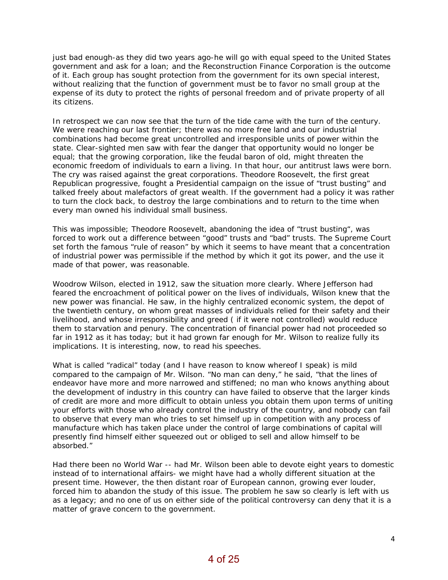just bad enough-as they did two years ago-he will go with equal speed to the United States government and ask for a loan; and the Reconstruction Finance Corporation is the outcome of it. Each group has sought protection from the government for its own special interest, without realizing that the function of government must be to favor no small group at the expense of its duty to protect the rights of personal freedom and of private property of all its citizens.

In retrospect we can now see that the turn of the tide came with the turn of the century. We were reaching our last frontier; there was no more free land and our industrial combinations had become great uncontrolled and irresponsible units of power within the state. Clear-sighted men saw with fear the danger that opportunity would no longer be equal; that the growing corporation, like the feudal baron of old, might threaten the economic freedom of individuals to earn a living. In that hour, our antitrust laws were born. The cry was raised against the great corporations. Theodore Roosevelt, the first great Republican progressive, fought a Presidential campaign on the issue of "trust busting" and talked freely about malefactors of great wealth. If the government had a policy it was rather to turn the clock back, to destroy the large combinations and to return to the time when every man owned his individual small business.

This was impossible; Theodore Roosevelt, abandoning the idea of "trust busting", was forced to work out a difference between "good" trusts and "bad" trusts. The Supreme Court set forth the famous "rule of reason" by which it seems to have meant that a concentration of industrial power was permissible if the method by which it got its power, and the use it made of that power, was reasonable.

Woodrow Wilson, elected in 1912, saw the situation more clearly. Where Jefferson had feared the encroachment of political power on the lives of individuals, Wilson knew that the new power was financial. He saw, in the highly centralized economic system, the depot of the twentieth century, on whom great masses of individuals relied for their safety and their livelihood, and whose irresponsibility and greed ( if it were not controlled) would reduce them to starvation and penury. The concentration of financial power had not proceeded so far in 1912 as it has today; but it had grown far enough for Mr. Wilson to realize fully its implications. It is interesting, now, to read his speeches.

What is called "radical" today (and I have reason to know whereof I speak) is mild compared to the campaign of Mr. Wilson. "No man can deny," he said, "that the lines of endeavor have more and more narrowed and stiffened; no man who knows anything about the development of industry in this country can have failed to observe that the larger kinds of credit are more and more difficult to obtain unless you obtain them upon terms of uniting your efforts with those who already control the industry of the country, and nobody can fail to observe that every man who tries to set himself up in competition with any process of manufacture which has taken place under the control of large combinations of capital will presently find himself either squeezed out or obliged to sell and allow himself to be absorbed."

Had there been no World War -- had Mr. Wilson been able to devote eight years to domestic instead of to international affairs- we might have had a wholly different situation at the present time. However, the then distant roar of European cannon, growing ever louder, forced him to abandon the study of this issue. The problem he saw so clearly is left with us as a legacy; and no one of us on either side of the political controversy can deny that it is a matter of grave concern to the government.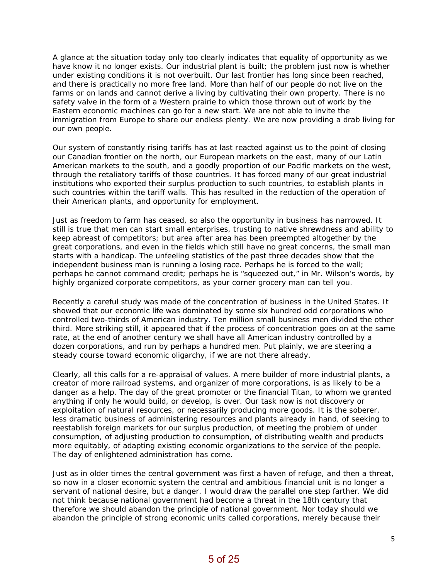A glance at the situation today only too clearly indicates that equality of opportunity as we have know it no longer exists. Our industrial plant is built; the problem just now is whether under existing conditions it is not overbuilt. Our last frontier has long since been reached, and there is practically no more free land. More than half of our people do not live on the farms or on lands and cannot derive a living by cultivating their own property. There is no safety valve in the form of a Western prairie to which those thrown out of work by the Eastern economic machines can go for a new start. We are not able to invite the immigration from Europe to share our endless plenty. We are now providing a drab living for our own people.

Our system of constantly rising tariffs has at last reacted against us to the point of closing our Canadian frontier on the north, our European markets on the east, many of our Latin American markets to the south, and a goodly proportion of our Pacific markets on the west, through the retaliatory tariffs of those countries. It has forced many of our great industrial institutions who exported their surplus production to such countries, to establish plants in such countries within the tariff walls. This has resulted in the reduction of the operation of their American plants, and opportunity for employment.

Just as freedom to farm has ceased, so also the opportunity in business has narrowed. It still is true that men can start small enterprises, trusting to native shrewdness and ability to keep abreast of competitors; but area after area has been preempted altogether by the great corporations, and even in the fields which still have no great concerns, the small man starts with a handicap. The unfeeling statistics of the past three decades show that the independent business man is running a losing race. Perhaps he is forced to the wall; perhaps he cannot command credit; perhaps he is "squeezed out," in Mr. Wilson's words, by highly organized corporate competitors, as your corner grocery man can tell you.

Recently a careful study was made of the concentration of business in the United States. It showed that our economic life was dominated by some six hundred odd corporations who controlled two-thirds of American industry. Ten million small business men divided the other third. More striking still, it appeared that if the process of concentration goes on at the same rate, at the end of another century we shall have all American industry controlled by a dozen corporations, and run by perhaps a hundred men. Put plainly, we are steering a steady course toward economic oligarchy, if we are not there already.

Clearly, all this calls for a re-appraisal of values. A mere builder of more industrial plants, a creator of more railroad systems, and organizer of more corporations, is as likely to be a danger as a help. The day of the great promoter or the financial Titan, to whom we granted anything if only he would build, or develop, is over. Our task now is not discovery or exploitation of natural resources, or necessarily producing more goods. It is the soberer, less dramatic business of administering resources and plants already in hand, of seeking to reestablish foreign markets for our surplus production, of meeting the problem of under consumption, of adjusting production to consumption, of distributing wealth and products more equitably, of adapting existing economic organizations to the service of the people. The day of enlightened administration has come.

Just as in older times the central government was first a haven of refuge, and then a threat, so now in a closer economic system the central and ambitious financial unit is no longer a servant of national desire, but a danger. I would draw the parallel one step farther. We did not think because national government had become a threat in the 18th century that therefore we should abandon the principle of national government. Nor today should we abandon the principle of strong economic units called corporations, merely because their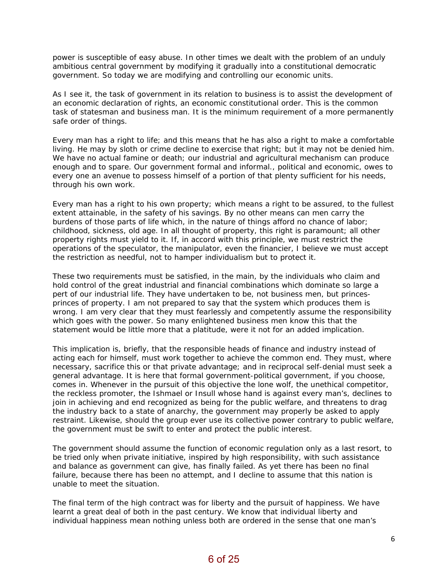power is susceptible of easy abuse. In other times we dealt with the problem of an unduly ambitious central government by modifying it gradually into a constitutional democratic government. So today we are modifying and controlling our economic units.

As I see it, the task of government in its relation to business is to assist the development of an economic declaration of rights, an economic constitutional order. This is the common task of statesman and business man. It is the minimum requirement of a more permanently safe order of things.

Every man has a right to life; and this means that he has also a right to make a comfortable living. He may by sloth or crime decline to exercise that right; but it may not be denied him. We have no actual famine or death; our industrial and agricultural mechanism can produce enough and to spare. Our government formal and informal., political and economic, owes to every one an avenue to possess himself of a portion of that plenty sufficient for his needs, through his own work.

Every man has a right to his own property; which means a right to be assured, to the fullest extent attainable, in the safety of his savings. By no other means can men carry the burdens of those parts of life which, in the nature of things afford no chance of labor; childhood, sickness, old age. In all thought of property, this right is paramount; all other property rights must yield to it. If, in accord with this principle, we must restrict the operations of the speculator, the manipulator, even the financier, I believe we must accept the restriction as needful, not to hamper individualism but to protect it.

These two requirements must be satisfied, in the main, by the individuals who claim and hold control of the great industrial and financial combinations which dominate so large a pert of our industrial life. They have undertaken to be, not business men, but princesprinces of property. I am not prepared to say that the system which produces them is wrong. I am very clear that they must fearlessly and competently assume the responsibility which goes with the power. So many enlightened business men know this that the statement would be little more that a platitude, were it not for an added implication.

This implication is, briefly, that the responsible heads of finance and industry instead of acting each for himself, must work together to achieve the common end. They must, where necessary, sacrifice this or that private advantage; and in reciprocal self-denial must seek a general advantage. It is here that formal government-political government, if you choose, comes in. Whenever in the pursuit of this objective the lone wolf, the unethical competitor, the reckless promoter, the Ishmael or Insull whose hand is against every man's, declines to join in achieving and end recognized as being for the public welfare, and threatens to drag the industry back to a state of anarchy, the government may properly be asked to apply restraint. Likewise, should the group ever use its collective power contrary to public welfare, the government must be swift to enter and protect the public interest.

The government should assume the function of economic regulation only as a last resort, to be tried only when private initiative, inspired by high responsibility, with such assistance and balance as government can give, has finally failed. As yet there has been no final failure, because there has been no attempt, and I decline to assume that this nation is unable to meet the situation.

The final term of the high contract was for liberty and the pursuit of happiness. We have learnt a great deal of both in the past century. We know that individual liberty and individual happiness mean nothing unless both are ordered in the sense that one man's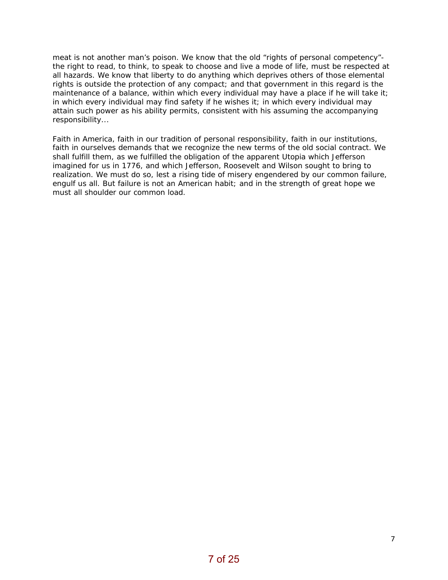meat is not another man's poison. We know that the old "rights of personal competency" the right to read, to think, to speak to choose and live a mode of life, must be respected at all hazards. We know that liberty to do anything which deprives others of those elemental rights is outside the protection of any compact; and that government in this regard is the maintenance of a balance, within which every individual may have a place if he will take it; in which every individual may find safety if he wishes it; in which every individual may attain such power as his ability permits, consistent with his assuming the accompanying responsibility...

Faith in America, faith in our tradition of personal responsibility, faith in our institutions, faith in ourselves demands that we recognize the new terms of the old social contract. We shall fulfill them, as we fulfilled the obligation of the apparent Utopia which Jefferson imagined for us in 1776, and which Jefferson, Roosevelt and Wilson sought to bring to realization. We must do so, lest a rising tide of misery engendered by our common failure, engulf us all. But failure is not an American habit; and in the strength of great hope we must all shoulder our common load.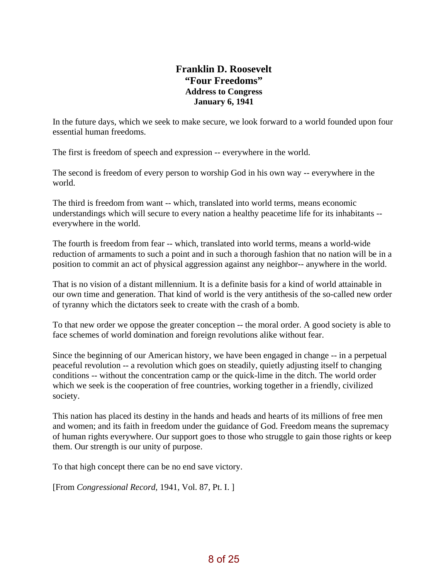#### **Franklin D. Roosevelt "Four Freedoms" Address to Congress January 6, 1941**

In the future days, which we seek to make secure, we look forward to a world founded upon four essential human freedoms.

The first is freedom of speech and expression -- everywhere in the world.

The second is freedom of every person to worship God in his own way -- everywhere in the world.

The third is freedom from want -- which, translated into world terms, means economic understandings which will secure to every nation a healthy peacetime life for its inhabitants - everywhere in the world.

The fourth is freedom from fear -- which, translated into world terms, means a world-wide reduction of armaments to such a point and in such a thorough fashion that no nation will be in a position to commit an act of physical aggression against any neighbor-- anywhere in the world.

That is no vision of a distant millennium. It is a definite basis for a kind of world attainable in our own time and generation. That kind of world is the very antithesis of the so-called new order of tyranny which the dictators seek to create with the crash of a bomb.

To that new order we oppose the greater conception -- the moral order. A good society is able to face schemes of world domination and foreign revolutions alike without fear.

Since the beginning of our American history, we have been engaged in change -- in a perpetual peaceful revolution -- a revolution which goes on steadily, quietly adjusting itself to changing conditions -- without the concentration camp or the quick-lime in the ditch. The world order which we seek is the cooperation of free countries, working together in a friendly, civilized society.

This nation has placed its destiny in the hands and heads and hearts of its millions of free men and women; and its faith in freedom under the guidance of God. Freedom means the supremacy of human rights everywhere. Our support goes to those who struggle to gain those rights or keep them. Our strength is our unity of purpose.

To that high concept there can be no end save victory.

[From *Congressional Record,* 1941, Vol. 87, Pt. I. ]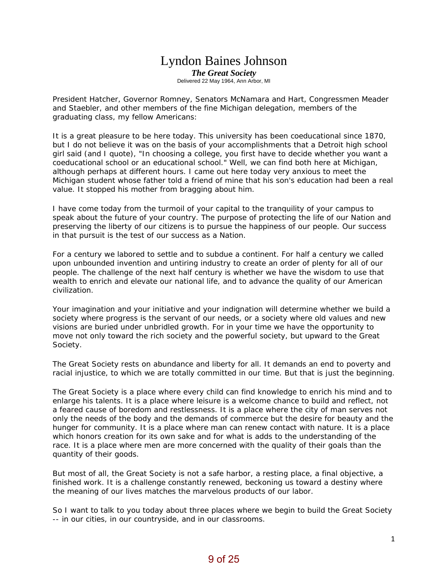## Lyndon Baines Johnson

*The Great Society* Delivered 22 May 1964, Ann Arbor, MI

President Hatcher, Governor Romney, Senators McNamara and Hart, Congressmen Meader and Staebler, and other members of the fine Michigan delegation, members of the graduating class, my fellow Americans:

It is a great pleasure to be here today. This university has been coeducational since 1870, but I do not believe it was on the basis of your accomplishments that a Detroit high school girl said (and I quote), "In choosing a college, you first have to decide whether you want a coeducational school or an educational school." Well, we can find both here at Michigan, although perhaps at different hours. I came out here today very anxious to meet the Michigan student whose father told a friend of mine that his son's education had been a real value. It stopped his mother from bragging about him.

I have come today from the turmoil of your capital to the tranquility of your campus to speak about the future of your country. The purpose of protecting the life of our Nation and preserving the liberty of our citizens is to pursue the happiness of our people. Our success in that pursuit is the test of our success as a Nation.

For a century we labored to settle and to subdue a continent. For half a century we called upon unbounded invention and untiring industry to create an order of plenty for all of our people. The challenge of the next half century is whether we have the wisdom to use that wealth to enrich and elevate our national life, and to advance the quality of our American civilization.

Your imagination and your initiative and your indignation will determine whether we build a society where progress is the servant of our needs, or a society where old values and new visions are buried under unbridled growth. For in your time we have the opportunity to move not only toward the rich society and the powerful society, but upward to the Great Society.

The Great Society rests on abundance and liberty for all. It demands an end to poverty and racial injustice, to which we are totally committed in our time. But that is just the beginning.

The Great Society is a place where every child can find knowledge to enrich his mind and to enlarge his talents. It is a place where leisure is a welcome chance to build and reflect, not a feared cause of boredom and restlessness. It is a place where the city of man serves not only the needs of the body and the demands of commerce but the desire for beauty and the hunger for community. It is a place where man can renew contact with nature. It is a place which honors creation for its own sake and for what is adds to the understanding of the race. It is a place where men are more concerned with the quality of their goals than the quantity of their goods.

But most of all, the Great Society is not a safe harbor, a resting place, a final objective, a finished work. It is a challenge constantly renewed, beckoning us toward a destiny where the meaning of our lives matches the marvelous products of our labor.

So I want to talk to you today about three places where we begin to build the Great Society -- in our cities, in our countryside, and in our classrooms.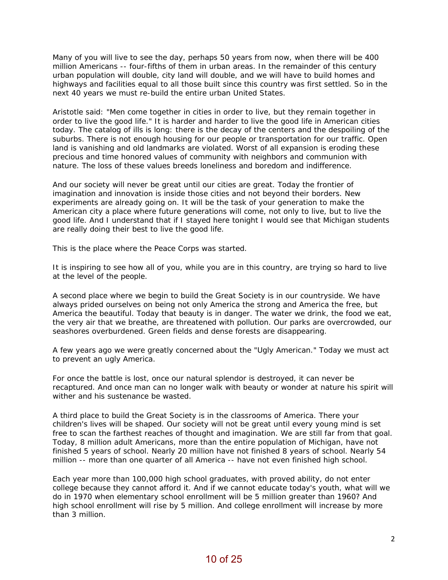Many of you will live to see the day, perhaps 50 years from now, when there will be 400 million Americans -- four-fifths of them in urban areas. In the remainder of this century urban population will double, city land will double, and we will have to build homes and highways and facilities equal to all those built since this country was first settled. So in the next 40 years we must re-build the entire urban United States.

Aristotle said: "Men come together in cities in order to live, but they remain together in order to live the good life." It is harder and harder to live the good life in American cities today. The catalog of ills is long: there is the decay of the centers and the despoiling of the suburbs. There is not enough housing for our people or transportation for our traffic. Open land is vanishing and old landmarks are violated. Worst of all expansion is eroding these precious and time honored values of community with neighbors and communion with nature. The loss of these values breeds loneliness and boredom and indifference.

And our society will never be great until our cities are great. Today the frontier of imagination and innovation is inside those cities and not beyond their borders. New experiments are already going on. It will be the task of your generation to make the American city a place where future generations will come, not only to live, but to live the good life. And I understand that if I stayed here tonight I would see that Michigan students are really doing their best to live the good life.

This is the place where the Peace Corps was started.

It is inspiring to see how all of you, while you are in this country, are trying so hard to live at the level of the people.

A second place where we begin to build the Great Society is in our countryside. We have always prided ourselves on being not only America the strong and America the free, but America the beautiful. Today that beauty is in danger. The water we drink, the food we eat, the very air that we breathe, are threatened with pollution. Our parks are overcrowded, our seashores overburdened. Green fields and dense forests are disappearing.

A few years ago we were greatly concerned about the "Ugly American." Today we must act to prevent an ugly America.

For once the battle is lost, once our natural splendor is destroyed, it can never be recaptured. And once man can no longer walk with beauty or wonder at nature his spirit will wither and his sustenance be wasted.

A third place to build the Great Society is in the classrooms of America. There your children's lives will be shaped. Our society will not be great until every young mind is set free to scan the farthest reaches of thought and imagination. We are still far from that goal. Today, 8 million adult Americans, more than the entire population of Michigan, have not finished 5 years of school. Nearly 20 million have not finished 8 years of school. Nearly 54 million -- more than one quarter of all America -- have not even finished high school.

Each year more than 100,000 high school graduates, with proved ability, do not enter college because they cannot afford it. And if we cannot educate today's youth, what will we do in 1970 when elementary school enrollment will be 5 million greater than 1960? And high school enrollment will rise by 5 million. And college enrollment will increase by more than 3 million.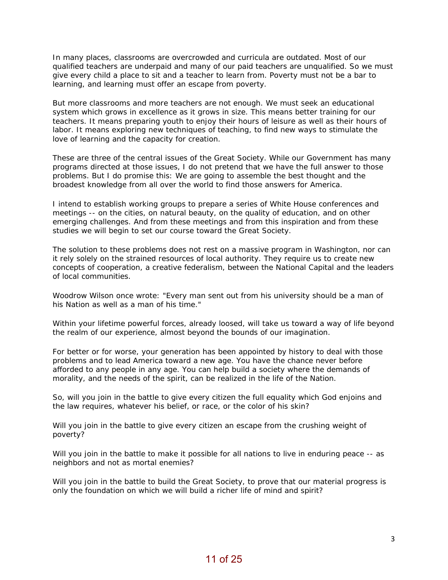In many places, classrooms are overcrowded and curricula are outdated. Most of our qualified teachers are underpaid and many of our paid teachers are unqualified. So we must give every child a place to sit and a teacher to learn from. Poverty must not be a bar to learning, and learning must offer an escape from poverty.

But more classrooms and more teachers are not enough. We must seek an educational system which grows in excellence as it grows in size. This means better training for our teachers. It means preparing youth to enjoy their hours of leisure as well as their hours of labor. It means exploring new techniques of teaching, to find new ways to stimulate the love of learning and the capacity for creation.

These are three of the central issues of the Great Society. While our Government has many programs directed at those issues, I do not pretend that we have the full answer to those problems. But I do promise this: We are going to assemble the best thought and the broadest knowledge from all over the world to find those answers for America.

I intend to establish working groups to prepare a series of White House conferences and meetings -- on the cities, on natural beauty, on the quality of education, and on other emerging challenges. And from these meetings and from this inspiration and from these studies we will begin to set our course toward the Great Society.

The solution to these problems does not rest on a massive program in Washington, nor can it rely solely on the strained resources of local authority. They require us to create new concepts of cooperation, a creative federalism, between the National Capital and the leaders of local communities.

Woodrow Wilson once wrote: "Every man sent out from his university should be a man of his Nation as well as a man of his time."

Within your lifetime powerful forces, already loosed, will take us toward a way of life beyond the realm of our experience, almost beyond the bounds of our imagination.

For better or for worse, your generation has been appointed by history to deal with those problems and to lead America toward a new age. You have the chance never before afforded to any people in any age. You can help build a society where the demands of morality, and the needs of the spirit, can be realized in the life of the Nation.

So, will you join in the battle to give every citizen the full equality which God enjoins and the law requires, whatever his belief, or race, or the color of his skin?

Will you join in the battle to give every citizen an escape from the crushing weight of poverty?

Will you join in the battle to make it possible for all nations to live in enduring peace -- as neighbors and not as mortal enemies?

Will you join in the battle to build the Great Society, to prove that our material progress is only the foundation on which we will build a richer life of mind and spirit?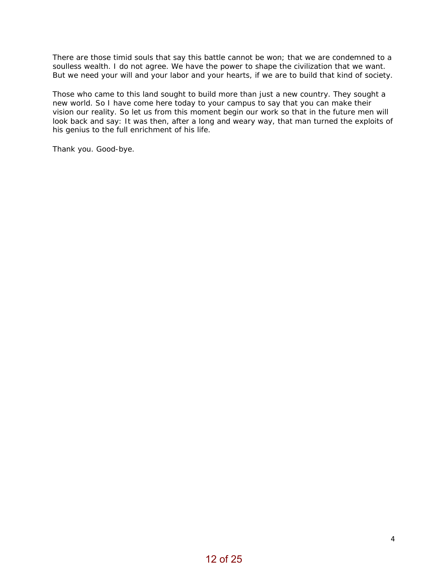There are those timid souls that say this battle cannot be won; that we are condemned to a soulless wealth. I do not agree. We have the power to shape the civilization that we want. But we need your will and your labor and your hearts, if we are to build that kind of society.

Those who came to this land sought to build more than just a new country. They sought a new world. So I have come here today to your campus to say that you can make their vision our reality. So let us from this moment begin our work so that in the future men will look back and say: It was then, after a long and weary way, that man turned the exploits of his genius to the full enrichment of his life.

Thank you. Good-bye.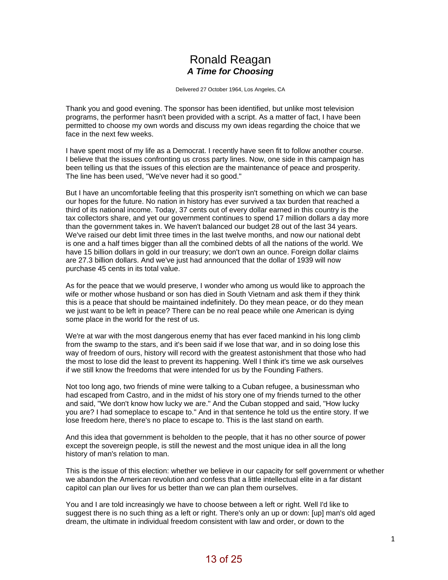#### Ronald Reagan *A Time for Choosing*

Delivered 27 October 1964, Los Angeles, CA

Thank you and good evening. The sponsor has been identified, but unlike most television programs, the performer hasn't been provided with a script. As a matter of fact, I have been permitted to choose my own words and discuss my own ideas regarding the choice that we face in the next few weeks.

I have spent most of my life as a Democrat. I recently have seen fit to follow another course. I believe that the issues confronting us cross party lines. Now, one side in this campaign has been telling us that the issues of this election are the maintenance of peace and prosperity. The line has been used, "We've never had it so good."

But I have an uncomfortable feeling that this prosperity isn't something on which we can base our hopes for the future. No nation in history has ever survived a tax burden that reached a third of its national income. Today, 37 cents out of every dollar earned in this country is the tax collectors share, and yet our government continues to spend 17 million dollars a day more than the government takes in. We haven't balanced our budget 28 out of the last 34 years. We've raised our debt limit three times in the last twelve months, and now our national debt is one and a half times bigger than all the combined debts of all the nations of the world. We have 15 billion dollars in gold in our treasury; we don't own an ounce. Foreign dollar claims are 27.3 billion dollars. And we've just had announced that the dollar of 1939 will now purchase 45 cents in its total value.

As for the peace that we would preserve, I wonder who among us would like to approach the wife or mother whose husband or son has died in South Vietnam and ask them if they think this is a peace that should be maintained indefinitely. Do they mean peace, or do they mean we just want to be left in peace? There can be no real peace while one American is dying some place in the world for the rest of us.

We're at war with the most dangerous enemy that has ever faced mankind in his long climb from the swamp to the stars, and it's been said if we lose that war, and in so doing lose this way of freedom of ours, history will record with the greatest astonishment that those who had the most to lose did the least to prevent its happening. Well I think it's time we ask ourselves if we still know the freedoms that were intended for us by the Founding Fathers.

Not too long ago, two friends of mine were talking to a Cuban refugee, a businessman who had escaped from Castro, and in the midst of his story one of my friends turned to the other and said, "We don't know how lucky we are." And the Cuban stopped and said, "How lucky you are? I had someplace to escape to." And in that sentence he told us the entire story. If we lose freedom here, there's no place to escape to. This is the last stand on earth.

And this idea that government is beholden to the people, that it has no other source of power except the sovereign people, is still the newest and the most unique idea in all the long history of man's relation to man.

This is the issue of this election: whether we believe in our capacity for self government or whether we abandon the American revolution and confess that a little intellectual elite in a far distant capitol can plan our lives for us better than we can plan them ourselves.

You and I are told increasingly we have to choose between a left or right. Well I'd like to suggest there is no such thing as a left or right. There's only an up or down: [up] man's old aged dream, the ultimate in individual freedom consistent with law and order, or down to the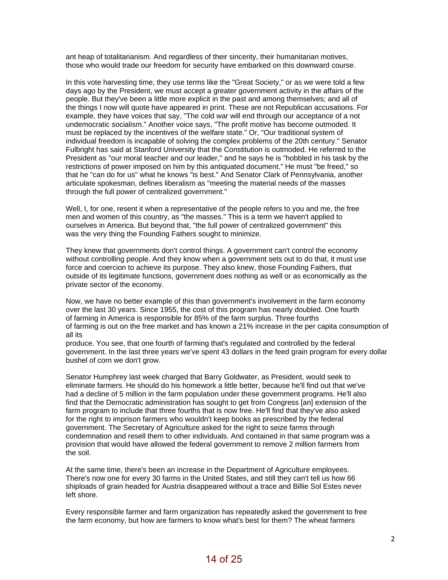ant heap of totalitarianism. And regardless of their sincerity, their humanitarian motives, those who would trade our freedom for security have embarked on this downward course.

In this vote harvesting time, they use terms like the "Great Society," or as we were told a few days ago by the President, we must accept a greater government activity in the affairs of the people. But they've been a little more explicit in the past and among themselves; and all of the things I now will quote have appeared in print. These are not Republican accusations. For example, they have voices that say, "The cold war will end through our acceptance of a not undemocratic socialism." Another voice says, "The profit motive has become outmoded. It must be replaced by the incentives of the welfare state." Or, "Our traditional system of individual freedom is incapable of solving the complex problems of the 20th century." Senator Fulbright has said at Stanford University that the Constitution is outmoded. He referred to the President as "our moral teacher and our leader," and he says he is "hobbled in his task by the restrictions of power imposed on him by this antiquated document." He must "be freed," so that he "can do for us" what he knows "is best." And Senator Clark of Pennsylvania, another articulate spokesman, defines liberalism as "meeting the material needs of the masses through the full power of centralized government."

Well, I, for one, resent it when a representative of the people refers to you and me, the free men and women of this country, as "the masses." This is a term we haven't applied to ourselves in America. But beyond that, "the full power of centralized government" this was the very thing the Founding Fathers sought to minimize.

They knew that governments don't control things. A government can't control the economy without controlling people. And they know when a government sets out to do that, it must use force and coercion to achieve its purpose. They also knew, those Founding Fathers, that outside of its legitimate functions, government does nothing as well or as economically as the private sector of the economy.

Now, we have no better example of this than government's involvement in the farm economy over the last 30 years. Since 1955, the cost of this program has nearly doubled. One fourth of farming in America is responsible for 85% of the farm surplus. Three fourths of farming is out on the free market and has known a 21% increase in the per capita consumption of all its

produce. You see, that one fourth of farming that's regulated and controlled by the federal government. In the last three years we've spent 43 dollars in the feed grain program for every dollar bushel of corn we don't grow.

Senator Humphrey last week charged that Barry Goldwater, as President, would seek to eliminate farmers. He should do his homework a little better, because he'll find out that we've had a decline of 5 million in the farm population under these government programs. He'll also find that the Democratic administration has sought to get from Congress [an] extension of the farm program to include that three fourths that is now free. He'll find that they've also asked for the right to imprison farmers who wouldn't keep books as prescribed by the federal government. The Secretary of Agriculture asked for the right to seize farms through condemnation and resell them to other individuals. And contained in that same program was a provision that would have allowed the federal government to remove 2 million farmers from the soil.

At the same time, there's been an increase in the Department of Agriculture employees. There's now one for every 30 farms in the United States, and still they can't tell us how 66 shiploads of grain headed for Austria disappeared without a trace and Billie Sol Estes never left shore.

Every responsible farmer and farm organization has repeatedly asked the government to free the farm economy, but how are farmers to know what's best for them? The wheat farmers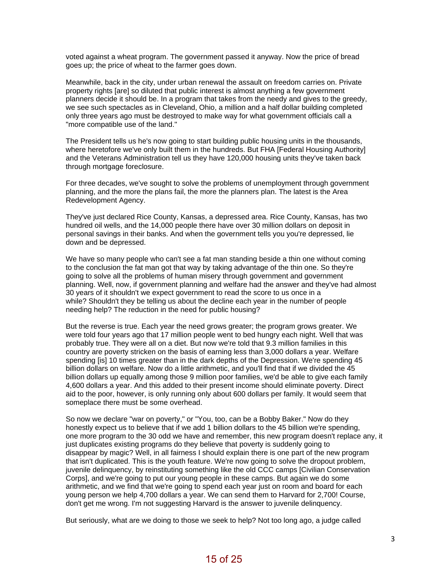voted against a wheat program. The government passed it anyway. Now the price of bread goes up; the price of wheat to the farmer goes down.

Meanwhile, back in the city, under urban renewal the assault on freedom carries on. Private property rights [are] so diluted that public interest is almost anything a few government planners decide it should be. In a program that takes from the needy and gives to the greedy, we see such spectacles as in Cleveland, Ohio, a million and a half dollar building completed only three years ago must be destroyed to make way for what government officials call a "more compatible use of the land."

The President tells us he's now going to start building public housing units in the thousands, where heretofore we've only built them in the hundreds. But FHA [Federal Housing Authority] and the Veterans Administration tell us they have 120,000 housing units they've taken back through mortgage foreclosure.

For three decades, we've sought to solve the problems of unemployment through government planning, and the more the plans fail, the more the planners plan. The latest is the Area Redevelopment Agency.

They've just declared Rice County, Kansas, a depressed area. Rice County, Kansas, has two hundred oil wells, and the 14,000 people there have over 30 million dollars on deposit in personal savings in their banks. And when the government tells you you're depressed, lie down and be depressed.

We have so many people who can't see a fat man standing beside a thin one without coming to the conclusion the fat man got that way by taking advantage of the thin one. So they're going to solve all the problems of human misery through government and government planning. Well, now, if government planning and welfare had the answer and they've had almost 30 years of it shouldn't we expect government to read the score to us once in a while? Shouldn't they be telling us about the decline each year in the number of people needing help? The reduction in the need for public housing?

But the reverse is true. Each year the need grows greater; the program grows greater. We were told four years ago that 17 million people went to bed hungry each night. Well that was probably true. They were all on a diet. But now we're told that 9.3 million families in this country are poverty stricken on the basis of earning less than 3,000 dollars a year. Welfare spending [is] 10 times greater than in the dark depths of the Depression. We're spending 45 billion dollars on welfare. Now do a little arithmetic, and you'll find that if we divided the 45 billion dollars up equally among those 9 million poor families, we'd be able to give each family 4,600 dollars a year. And this added to their present income should eliminate poverty. Direct aid to the poor, however, is only running only about 600 dollars per family. It would seem that someplace there must be some overhead.

So now we declare "war on poverty," or "You, too, can be a Bobby Baker." Now do they honestly expect us to believe that if we add 1 billion dollars to the 45 billion we're spending, one more program to the 30 odd we have and remember, this new program doesn't replace any, it just duplicates existing programs do they believe that poverty is suddenly going to disappear by magic? Well, in all fairness I should explain there is one part of the new program that isn't duplicated. This is the youth feature. We're now going to solve the dropout problem, juvenile delinquency, by reinstituting something like the old CCC camps [Civilian Conservation Corps], and we're going to put our young people in these camps. But again we do some arithmetic, and we find that we're going to spend each year just on room and board for each young person we help 4,700 dollars a year. We can send them to Harvard for 2,700! Course, don't get me wrong. I'm not suggesting Harvard is the answer to juvenile delinquency.

But seriously, what are we doing to those we seek to help? Not too long ago, a judge called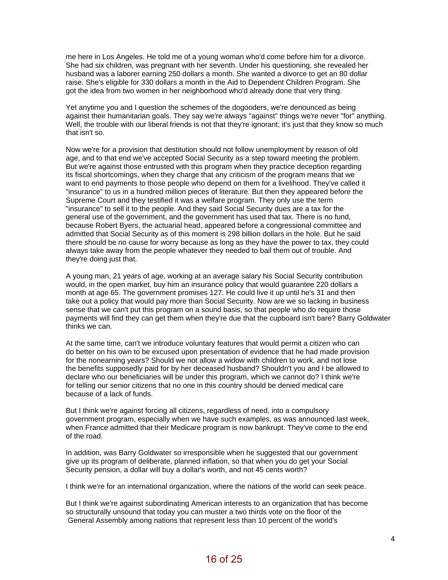me here in Los Angeles. He told me of a young woman who'd come before him for a divorce. She had six children, was pregnant with her seventh. Under his questioning, she revealed her husband was a laborer earning 250 dollars a month. She wanted a divorce to get an 80 dollar raise. She's eligible for 330 dollars a month in the Aid to Dependent Children Program. She got the idea from two women in her neighborhood who'd already done that very thing.

Yet anytime you and I question the schemes of the dogooders, we're denounced as being against their humanitarian goals. They say we're always "against" things we're never "for" anything. Well, the trouble with our liberal friends is not that they're ignorant; it's just that they know so much that isn't so.

Now we're for a provision that destitution should not follow unemployment by reason of old age, and to that end we've accepted Social Security as a step toward meeting the problem. But we're against those entrusted with this program when they practice deception regarding its fiscal shortcomings, when they charge that any criticism of the program means that we want to end payments to those people who depend on them for a livelihood. They've called it "insurance" to us in a hundred million pieces of literature. But then they appeared before the Supreme Court and they testified it was a welfare program. They only use the term "insurance" to sell it to the people. And they said Social Security dues are a tax for the general use of the government, and the government has used that tax. There is no fund, because Robert Byers, the actuarial head, appeared before a congressional committee and admitted that Social Security as of this moment is 298 billion dollars in the hole. But he said there should be no cause for worry because as long as they have the power to tax, they could always take away from the people whatever they needed to bail them out of trouble. And they're doing just that.

A young man, 21 years of age, working at an average salary his Social Security contribution would, in the open market, buy him an insurance policy that would guarantee 220 dollars a month at age 65. The government promises 127. He could live it up until he's 31 and then take out a policy that would pay more than Social Security. Now are we so lacking in business sense that we can't put this program on a sound basis, so that people who do require those payments will find they can get them when they're due that the cupboard isn't bare? Barry Goldwater thinks we can.

At the same time, can't we introduce voluntary features that would permit a citizen who can do better on his own to be excused upon presentation of evidence that he had made provision for the nonearning years? Should we not allow a widow with children to work, and not lose the benefits supposedly paid for by her deceased husband? Shouldn't you and I be allowed to declare who our beneficiaries will be under this program, which we cannot do? I think we're for telling our senior citizens that no one in this country should be denied medical care because of a lack of funds.

But I think we're against forcing all citizens, regardless of need, into a compulsory government program, especially when we have such examples, as was announced last week, when France admitted that their Medicare program is now bankrupt. They've come to the end of the road.

In addition, was Barry Goldwater so irresponsible when he suggested that our government give up its program of deliberate, planned inflation, so that when you do get your Social Security pension, a dollar will buy a dollar's worth, and not 45 cents worth?

I think we're for an international organization, where the nations of the world can seek peace.

But I think we're against subordinating American interests to an organization that has become so structurally unsound that today you can muster a two thirds vote on the floor of the General Assembly among nations that represent less than 10 percent of the world's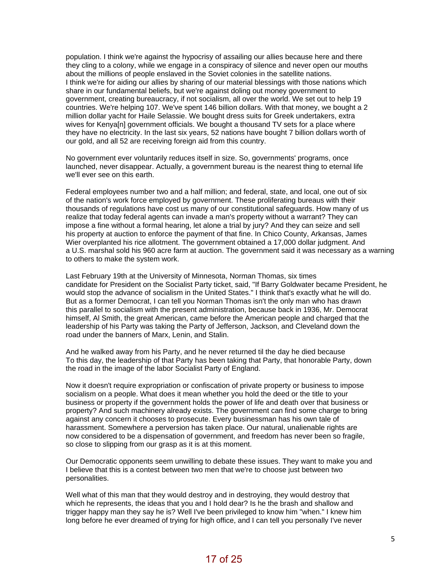population. I think we're against the hypocrisy of assailing our allies because here and there they cling to a colony, while we engage in a conspiracy of silence and never open our mouths about the millions of people enslaved in the Soviet colonies in the satellite nations. I think we're for aiding our allies by sharing of our material blessings with those nations which share in our fundamental beliefs, but we're against doling out money government to government, creating bureaucracy, if not socialism, all over the world. We set out to help 19 countries. We're helping 107. We've spent 146 billion dollars. With that money, we bought a 2 million dollar yacht for Haile Selassie. We bought dress suits for Greek undertakers, extra wives for Kenya[n] government officials. We bought a thousand TV sets for a place where they have no electricity. In the last six years, 52 nations have bought 7 billion dollars worth of our gold, and all 52 are receiving foreign aid from this country.

No government ever voluntarily reduces itself in size. So, governments' programs, once launched, never disappear. Actually, a government bureau is the nearest thing to eternal life we'll ever see on this earth.

Federal employees number two and a half million; and federal, state, and local, one out of six of the nation's work force employed by government. These proliferating bureaus with their thousands of regulations have cost us many of our constitutional safeguards. How many of us realize that today federal agents can invade a man's property without a warrant? They can impose a fine without a formal hearing, let alone a trial by jury? And they can seize and sell his property at auction to enforce the payment of that fine. In Chico County, Arkansas, James Wier overplanted his rice allotment. The government obtained a 17,000 dollar judgment. And a U.S. marshal sold his 960 acre farm at auction. The government said it was necessary as a warning to others to make the system work.

Last February 19th at the University of Minnesota, Norman Thomas, six times candidate for President on the Socialist Party ticket, said, "If Barry Goldwater became President, he would stop the advance of socialism in the United States." I think that's exactly what he will do. But as a former Democrat, I can tell you Norman Thomas isn't the only man who has drawn this parallel to socialism with the present administration, because back in 1936, Mr. Democrat himself, Al Smith, the great American, came before the American people and charged that the leadership of his Party was taking the Party of Jefferson, Jackson, and Cleveland down the road under the banners of Marx, Lenin, and Stalin.

And he walked away from his Party, and he never returned til the day he died because To this day, the leadership of that Party has been taking that Party, that honorable Party, down the road in the image of the labor Socialist Party of England.

Now it doesn't require expropriation or confiscation of private property or business to impose socialism on a people. What does it mean whether you hold the deed or the title to your business or property if the government holds the power of life and death over that business or property? And such machinery already exists. The government can find some charge to bring against any concern it chooses to prosecute. Every businessman has his own tale of harassment. Somewhere a perversion has taken place. Our natural, unalienable rights are now considered to be a dispensation of government, and freedom has never been so fragile, so close to slipping from our grasp as it is at this moment.

Our Democratic opponents seem unwilling to debate these issues. They want to make you and I believe that this is a contest between two men that we're to choose just between two personalities.

Well what of this man that they would destroy and in destroying, they would destroy that which he represents, the ideas that you and I hold dear? Is he the brash and shallow and trigger happy man they say he is? Well I've been privileged to know him "when." I knew him long before he ever dreamed of trying for high office, and I can tell you personally I've never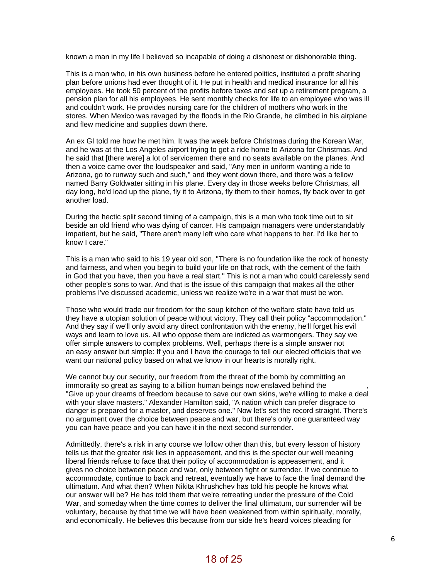known a man in my life I believed so incapable of doing a dishonest or dishonorable thing.

This is a man who, in his own business before he entered politics, instituted a profit sharing plan before unions had ever thought of it. He put in health and medical insurance for all his employees. He took 50 percent of the profits before taxes and set up a retirement program, a pension plan for all his employees. He sent monthly checks for life to an employee who was ill and couldn't work. He provides nursing care for the children of mothers who work in the stores. When Mexico was ravaged by the floods in the Rio Grande, he climbed in his airplane and flew medicine and supplies down there.

An ex GI told me how he met him. It was the week before Christmas during the Korean War, and he was at the Los Angeles airport trying to get a ride home to Arizona for Christmas. And he said that [there were] a lot of servicemen there and no seats available on the planes. And then a voice came over the loudspeaker and said, "Any men in uniform wanting a ride to Arizona, go to runway such and such," and they went down there, and there was a fellow named Barry Goldwater sitting in his plane. Every day in those weeks before Christmas, all day long, he'd load up the plane, fly it to Arizona, fly them to their homes, fly back over to get another load.

During the hectic split second timing of a campaign, this is a man who took time out to sit beside an old friend who was dying of cancer. His campaign managers were understandably impatient, but he said, "There aren't many left who care what happens to her. I'd like her to know I care."

This is a man who said to his 19 year old son, "There is no foundation like the rock of honesty and fairness, and when you begin to build your life on that rock, with the cement of the faith in God that you have, then you have a real start." This is not a man who could carelessly send other people's sons to war. And that is the issue of this campaign that makes all the other problems I've discussed academic, unless we realize we're in a war that must be won.

Those who would trade our freedom for the soup kitchen of the welfare state have told us they have a utopian solution of peace without victory. They call their policy "accommodation." And they say if we'll only avoid any direct confrontation with the enemy, he'll forget his evil ways and learn to love us. All who oppose them are indicted as warmongers. They say we offer simple answers to complex problems. Well, perhaps there is a simple answer not an easy answer but simple: If you and I have the courage to tell our elected officials that we want our national policy based on what we know in our hearts is morally right.

We cannot buy our security, our freedom from the threat of the bomb by committing an immorality so great as saying to a billion human beings now enslaved behind the "Give up your dreams of freedom because to save our own skins, we're willing to make a deal with your slave masters." Alexander Hamilton said, "A nation which can prefer disgrace to danger is prepared for a master, and deserves one." Now let's set the record straight. There's no argument over the choice between peace and war, but there's only one guaranteed way you can have peace and you can have it in the next second surrender.

Admittedly, there's a risk in any course we follow other than this, but every lesson of history tells us that the greater risk lies in appeasement, and this is the specter our well meaning liberal friends refuse to face that their policy of accommodation is appeasement, and it gives no choice between peace and war, only between fight or surrender. If we continue to accommodate, continue to back and retreat, eventually we have to face the final demand the ultimatum. And what then? When Nikita Khrushchev has told his people he knows what our answer will be? He has told them that we're retreating under the pressure of the Cold War, and someday when the time comes to deliver the final ultimatum, our surrender will be voluntary, because by that time we will have been weakened from within spiritually, morally, and economically. He believes this because from our side he's heard voices pleading for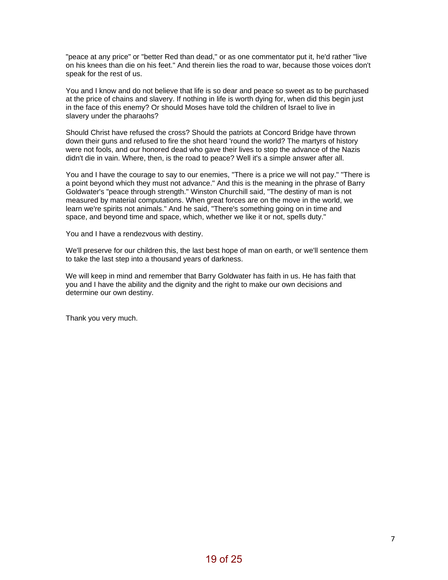"peace at any price" or "better Red than dead," or as one commentator put it, he'd rather "live on his knees than die on his feet." And therein lies the road to war, because those voices don't speak for the rest of us.

You and I know and do not believe that life is so dear and peace so sweet as to be purchased at the price of chains and slavery. If nothing in life is worth dying for, when did this begin just in the face of this enemy? Or should Moses have told the children of Israel to live in slavery under the pharaohs?

Should Christ have refused the cross? Should the patriots at Concord Bridge have thrown down their guns and refused to fire the shot heard 'round the world? The martyrs of history were not fools, and our honored dead who gave their lives to stop the advance of the Nazis didn't die in vain. Where, then, is the road to peace? Well it's a simple answer after all.

You and I have the courage to say to our enemies, "There is a price we will not pay." "There is a point beyond which they must not advance." And this is the meaning in the phrase of Barry Goldwater's "peace through strength." Winston Churchill said, "The destiny of man is not measured by material computations. When great forces are on the move in the world, we learn we're spirits not animals." And he said, "There's something going on in time and space, and beyond time and space, which, whether we like it or not, spells duty."

You and I have a rendezvous with destiny.

We'll preserve for our children this, the last best hope of man on earth, or we'll sentence them to take the last step into a thousand years of darkness.

We will keep in mind and remember that Barry Goldwater has faith in us. He has faith that you and I have the ability and the dignity and the right to make our own decisions and determine our own destiny.

Thank you very much.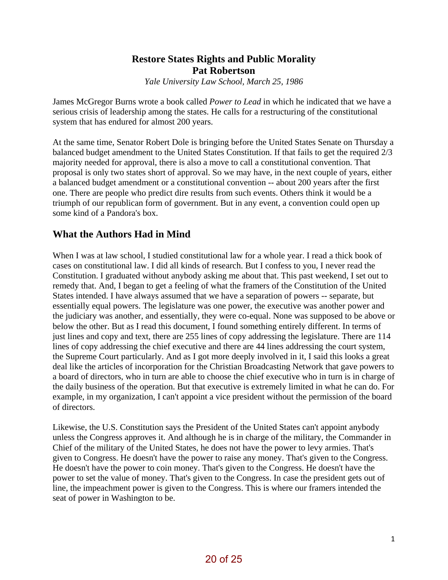#### **Restore States Rights and Public Morality Pat Robertson**

*Yale University Law School, March 25, 1986*

James McGregor Burns wrote a book called *Power to Lead* in which he indicated that we have a serious crisis of leadership among the states. He calls for a restructuring of the constitutional system that has endured for almost 200 years.

At the same time, Senator Robert Dole is bringing before the United States Senate on Thursday a balanced budget amendment to the United States Constitution. If that fails to get the required 2/3 majority needed for approval, there is also a move to call a constitutional convention. That proposal is only two states short of approval. So we may have, in the next couple of years, either a balanced budget amendment or a constitutional convention -- about 200 years after the first one. There are people who predict dire results from such events. Others think it would be a triumph of our republican form of government. But in any event, a convention could open up some kind of a Pandora's box.

#### **What the Authors Had in Mind**

When I was at law school, I studied constitutional law for a whole year. I read a thick book of cases on constitutional law. I did all kinds of research. But I confess to you, I never read the Constitution. I graduated without anybody asking me about that. This past weekend, I set out to remedy that. And, I began to get a feeling of what the framers of the Constitution of the United States intended. I have always assumed that we have a separation of powers -- separate, but essentially equal powers. The legislature was one power, the executive was another power and the judiciary was another, and essentially, they were co-equal. None was supposed to be above or below the other. But as I read this document, I found something entirely different. In terms of just lines and copy and text, there are 255 lines of copy addressing the legislature. There are 114 lines of copy addressing the chief executive and there are 44 lines addressing the court system, the Supreme Court particularly. And as I got more deeply involved in it, I said this looks a great deal like the articles of incorporation for the Christian Broadcasting Network that gave powers to a board of directors, who in turn are able to choose the chief executive who in turn is in charge of the daily business of the operation. But that executive is extremely limited in what he can do. For example, in my organization, I can't appoint a vice president without the permission of the board of directors.

Likewise, the U.S. Constitution says the President of the United States can't appoint anybody unless the Congress approves it. And although he is in charge of the military, the Commander in Chief of the military of the United States, he does not have the power to levy armies. That's given to Congress. He doesn't have the power to raise any money. That's given to the Congress. He doesn't have the power to coin money. That's given to the Congress. He doesn't have the power to set the value of money. That's given to the Congress. In case the president gets out of line, the impeachment power is given to the Congress. This is where our framers intended the seat of power in Washington to be.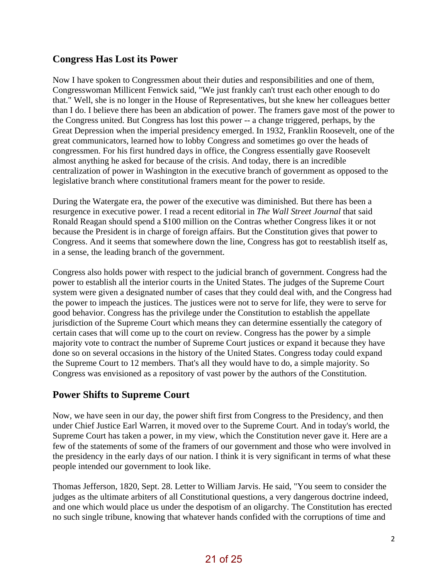#### **Congress Has Lost its Power**

Now I have spoken to Congressmen about their duties and responsibilities and one of them, Congresswoman Millicent Fenwick said, "We just frankly can't trust each other enough to do that." Well, she is no longer in the House of Representatives, but she knew her colleagues better than I do. I believe there has been an abdication of power. The framers gave most of the power to the Congress united. But Congress has lost this power -- a change triggered, perhaps, by the Great Depression when the imperial presidency emerged. In 1932, Franklin Roosevelt, one of the great communicators, learned how to lobby Congress and sometimes go over the heads of congressmen. For his first hundred days in office, the Congress essentially gave Roosevelt almost anything he asked for because of the crisis. And today, there is an incredible centralization of power in Washington in the executive branch of government as opposed to the legislative branch where constitutional framers meant for the power to reside.

During the Watergate era, the power of the executive was diminished. But there has been a resurgence in executive power. I read a recent editorial in *The Wall Street Journal* that said Ronald Reagan should spend a \$100 million on the Contras whether Congress likes it or not because the President is in charge of foreign affairs. But the Constitution gives that power to Congress. And it seems that somewhere down the line, Congress has got to reestablish itself as, in a sense, the leading branch of the government.

Congress also holds power with respect to the judicial branch of government. Congress had the power to establish all the interior courts in the United States. The judges of the Supreme Court system were given a designated number of cases that they could deal with, and the Congress had the power to impeach the justices. The justices were not to serve for life, they were to serve for good behavior. Congress has the privilege under the Constitution to establish the appellate jurisdiction of the Supreme Court which means they can determine essentially the category of certain cases that will come up to the court on review. Congress has the power by a simple majority vote to contract the number of Supreme Court justices or expand it because they have done so on several occasions in the history of the United States. Congress today could expand the Supreme Court to 12 members. That's all they would have to do, a simple majority. So Congress was envisioned as a repository of vast power by the authors of the Constitution.

#### **Power Shifts to Supreme Court**

Now, we have seen in our day, the power shift first from Congress to the Presidency, and then under Chief Justice Earl Warren, it moved over to the Supreme Court. And in today's world, the Supreme Court has taken a power, in my view, which the Constitution never gave it. Here are a few of the statements of some of the framers of our government and those who were involved in the presidency in the early days of our nation. I think it is very significant in terms of what these people intended our government to look like.

Thomas Jefferson, 1820, Sept. 28. Letter to William Jarvis. He said, "You seem to consider the judges as the ultimate arbiters of all Constitutional questions, a very dangerous doctrine indeed, and one which would place us under the despotism of an oligarchy. The Constitution has erected no such single tribune, knowing that whatever hands confided with the corruptions of time and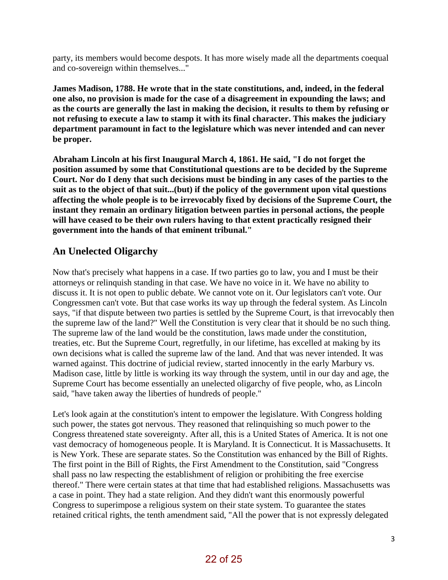party, its members would become despots. It has more wisely made all the departments coequal and co-sovereign within themselves..."

**James Madison, 1788. He wrote that in the state constitutions, and, indeed, in the federal one also, no provision is made for the case of a disagreement in expounding the laws; and as the courts are generally the last in making the decision, it results to them by refusing or not refusing to execute a law to stamp it with its final character. This makes the judiciary department paramount in fact to the legislature which was never intended and can never be proper.** 

**Abraham Lincoln at his first Inaugural March 4, 1861. He said, "I do not forget the position assumed by some that Constitutional questions are to be decided by the Supreme Court. Nor do I deny that such decisions must be binding in any cases of the parties to the suit as to the object of that suit...(but) if the policy of the government upon vital questions affecting the whole people is to be irrevocably fixed by decisions of the Supreme Court, the instant they remain an ordinary litigation between parties in personal actions, the people will have ceased to be their own rulers having to that extent practically resigned their government into the hands of that eminent tribunal."** 

#### **An Unelected Oligarchy**

Now that's precisely what happens in a case. If two parties go to law, you and I must be their attorneys or relinquish standing in that case. We have no voice in it. We have no ability to discuss it. It is not open to public debate. We cannot vote on it. Our legislators can't vote. Our Congressmen can't vote. But that case works its way up through the federal system. As Lincoln says, "if that dispute between two parties is settled by the Supreme Court, is that irrevocably then the supreme law of the land?" Well the Constitution is very clear that it should be no such thing. The supreme law of the land would be the constitution, laws made under the constitution, treaties, etc. But the Supreme Court, regretfully, in our lifetime, has excelled at making by its own decisions what is called the supreme law of the land. And that was never intended. It was warned against. This doctrine of judicial review, started innocently in the early Marbury vs. Madison case, little by little is working its way through the system, until in our day and age, the Supreme Court has become essentially an unelected oligarchy of five people, who, as Lincoln said, "have taken away the liberties of hundreds of people."

Let's look again at the constitution's intent to empower the legislature. With Congress holding such power, the states got nervous. They reasoned that relinquishing so much power to the Congress threatened state sovereignty. After all, this is a United States of America. It is not one vast democracy of homogeneous people. It is Maryland. It is Connecticut. It is Massachusetts. It is New York. These are separate states. So the Constitution was enhanced by the Bill of Rights. The first point in the Bill of Rights, the First Amendment to the Constitution, said "Congress shall pass no law respecting the establishment of religion or prohibiting the free exercise thereof." There were certain states at that time that had established religions. Massachusetts was a case in point. They had a state religion. And they didn't want this enormously powerful Congress to superimpose a religious system on their state system. To guarantee the states retained critical rights, the tenth amendment said, "All the power that is not expressly delegated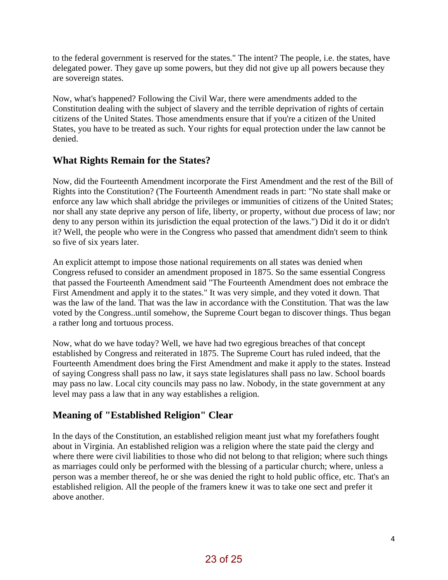to the federal government is reserved for the states." The intent? The people, i.e. the states, have delegated power. They gave up some powers, but they did not give up all powers because they are sovereign states.

Now, what's happened? Following the Civil War, there were amendments added to the Constitution dealing with the subject of slavery and the terrible deprivation of rights of certain citizens of the United States. Those amendments ensure that if you're a citizen of the United States, you have to be treated as such. Your rights for equal protection under the law cannot be denied.

#### **What Rights Remain for the States?**

Now, did the Fourteenth Amendment incorporate the First Amendment and the rest of the Bill of Rights into the Constitution? (The Fourteenth Amendment reads in part: "No state shall make or enforce any law which shall abridge the privileges or immunities of citizens of the United States; nor shall any state deprive any person of life, liberty, or property, without due process of law; nor deny to any person within its jurisdiction the equal protection of the laws.") Did it do it or didn't it? Well, the people who were in the Congress who passed that amendment didn't seem to think so five of six years later.

An explicit attempt to impose those national requirements on all states was denied when Congress refused to consider an amendment proposed in 1875. So the same essential Congress that passed the Fourteenth Amendment said "The Fourteenth Amendment does not embrace the First Amendment and apply it to the states." It was very simple, and they voted it down. That was the law of the land. That was the law in accordance with the Constitution. That was the law voted by the Congress..until somehow, the Supreme Court began to discover things. Thus began a rather long and tortuous process.

Now, what do we have today? Well, we have had two egregious breaches of that concept established by Congress and reiterated in 1875. The Supreme Court has ruled indeed, that the Fourteenth Amendment does bring the First Amendment and make it apply to the states. Instead of saying Congress shall pass no law, it says state legislatures shall pass no law. School boards may pass no law. Local city councils may pass no law. Nobody, in the state government at any level may pass a law that in any way establishes a religion.

#### **Meaning of "Established Religion" Clear**

In the days of the Constitution, an established religion meant just what my forefathers fought about in Virginia. An established religion was a religion where the state paid the clergy and where there were civil liabilities to those who did not belong to that religion; where such things as marriages could only be performed with the blessing of a particular church; where, unless a person was a member thereof, he or she was denied the right to hold public office, etc. That's an established religion. All the people of the framers knew it was to take one sect and prefer it above another.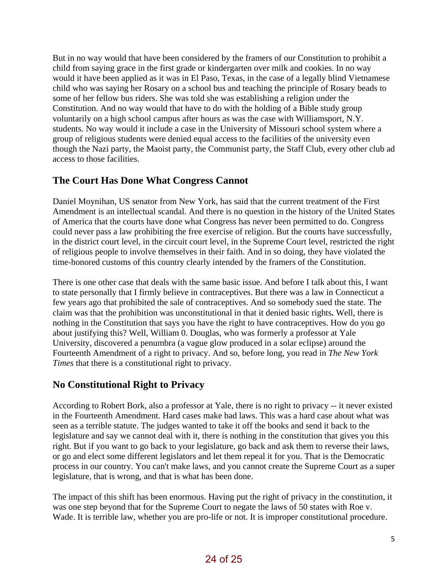But in no way would that have been considered by the framers of our Constitution to prohibit a child from saying grace in the first grade or kindergarten over milk and cookies. In no way would it have been applied as it was in El Paso, Texas, in the case of a legally blind Vietnamese child who was saying her Rosary on a school bus and teaching the principle of Rosary beads to some of her fellow bus riders. She was told she was establishing a religion under the Constitution. And no way would that have to do with the holding of a Bible study group voluntarily on a high school campus after hours as was the case with Williamsport, N.Y. students. No way would it include a case in the University of Missouri school system where a group of religious students were denied equal access to the facilities of the university even though the Nazi party, the Maoist party, the Communist party, the Staff Club, every other club ad access to those facilities.

#### **The Court Has Done What Congress Cannot**

Daniel Moynihan, US senator from New York, has said that the current treatment of the First Amendment is an intellectual scandal. And there is no question in the history of the United States of America that the courts have done what Congress has never been permitted to do. Congress could never pass a law prohibiting the free exercise of religion. But the courts have successfully, in the district court level, in the circuit court level, in the Supreme Court level, restricted the right of religious people to involve themselves in their faith. And in so doing, they have violated the time-honored customs of this country clearly intended by the framers of the Constitution.

There is one other case that deals with the same basic issue. And before I talk about this, I want to state personally that I firmly believe in contraceptives. But there was a law in Connecticut a few years ago that prohibited the sale of contraceptives. And so somebody sued the state. The claim was that the prohibition was unconstitutional in that it denied basic rights**.** Well, there is nothing in the Constitution that says you have the right to have contraceptives. How do you go about justifying this? Well, William 0. Douglas, who was formerly a professor at Yale University, discovered a penumbra (a vague glow produced in a solar eclipse) around the Fourteenth Amendment of a right to privacy. And so, before long, you read in *The New York Times* that there is a constitutional right to privacy.

#### **No Constitutional Right to Privacy**

According to Robert Bork, also a professor at Yale, there is no right to privacy -- it never existed in the Fourteenth Amendment. Hard cases make bad laws. This was a hard case about what was seen as a terrible statute. The judges wanted to take it off the books and send it back to the legislature and say we cannot deal with it, there is nothing in the constitution that gives you this right. But if you want to go back to your legislature, go back and ask them to reverse their laws, or go and elect some different legislators and let them repeal it for you. That is the Democratic process in our country. You can't make laws, and you cannot create the Supreme Court as a super legislature, that is wrong, and that is what has been done.

The impact of this shift has been enormous. Having put the right of privacy in the constitution, it was one step beyond that for the Supreme Court to negate the laws of 50 states with Roe v. Wade. It is terrible law, whether you are pro-life or not. It is improper constitutional procedure.